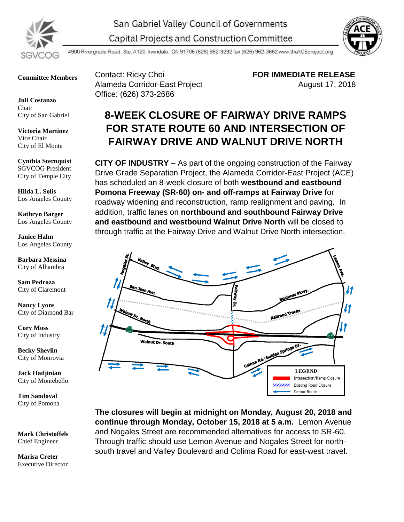



4900 Rivergrade Road. Ste. A120 Irwindale, CA 91706 (626) 962-9292 fax (626) 962-3662 www.theACEproject.org

**Committee Members**

**Juli Costanzo** Chair City of San Gabriel

**Victoria Martinez** Vice Chair City of El Monte

**Cynthia Sternquist** SGVCOG President City of Temple City

**Hilda L. Solis** Los Angeles County

**Kathryn Barger** Los Angeles County

**Janice Hahn** Los Angeles County

**Barbara Messina** City of Alhambra

**Sam Pedroza** City of Claremont

**Nancy Lyons** City of Diamond Bar

**Cory Moss** City of Industry

**Becky Shevlin** City of Monrovia

**Jack Hadjinian** City of Montebello

**Tim Sandoval** City of Pomona

**Mark Christoffels** Chief Engineer

**Marisa Creter** Executive Director

Contact: Ricky Choi **FOR IMMEDIATE RELEASE** Alameda Corridor-East Project **August 17, 2018** Office: (626) 373-2686

## **8-WEEK CLOSURE OF FAIRWAY DRIVE RAMPS FOR STATE ROUTE 60 AND INTERSECTION OF FAIRWAY DRIVE AND WALNUT DRIVE NORTH**

**CITY OF INDUSTRY** – As part of the ongoing construction of the Fairway Drive Grade Separation Project, the Alameda Corridor-East Project (ACE) has scheduled an 8-week closure of both **westbound and eastbound Pomona Freeway (SR-60) on- and off-ramps at Fairway Drive** for roadway widening and reconstruction, ramp realignment and paving. In addition, traffic lanes on **northbound and southbound Fairway Drive and eastbound and westbound Walnut Drive North** will be closed to through traffic at the Fairway Drive and Walnut Drive North intersection.



**The closures will begin at midnight on Monday, August 20, 2018 and continue through Monday, October 15, 2018 at 5 a.m.** Lemon Avenue and Nogales Street are recommended alternatives for access to SR-60. Through traffic should use Lemon Avenue and Nogales Street for northsouth travel and Valley Boulevard and Colima Road for east-west travel.